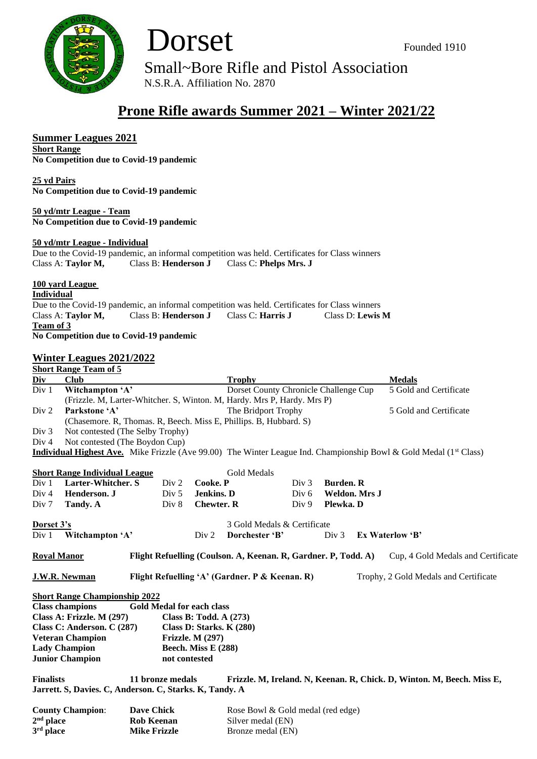



Small~Bore Rifle and Pistol Association

N.S.R.A. Affiliation No. 2870

## **Prone Rifle awards Summer 2021 – Winter 2021/22**

## **Summer Leagues 2021**

**Short Range No Competition due to Covid-19 pandemic**

**25 yd Pairs No Competition due to Covid-19 pandemic**

**50 yd/mtr League - Team No Competition due to Covid-19 pandemic**

## **50 yd/mtr League - Individual**

Due to the Covid-19 pandemic, an informal competition was held. Certificates for Class winners Class A: **Taylor M,** Class B: **Henderson J** Class C: **Phelps Mrs. J**

**100 yard League**

**Individual**

Due to the Covid-19 pandemic, an informal competition was held. Certificates for Class winners Class A: **Taylor M,** Class B: **Henderson J** Class C: **Harris J** Class D: **Lewis M Team of 3**

|                                                    | No Competition due to Covid-19 pandemic                                 |                                                                   |                                                                        |                                                                |                  |                        |  |                                                                                                                               |  |
|----------------------------------------------------|-------------------------------------------------------------------------|-------------------------------------------------------------------|------------------------------------------------------------------------|----------------------------------------------------------------|------------------|------------------------|--|-------------------------------------------------------------------------------------------------------------------------------|--|
|                                                    | <b>Winter Leagues 2021/2022</b>                                         |                                                                   |                                                                        |                                                                |                  |                        |  |                                                                                                                               |  |
|                                                    | <b>Short Range Team of 5</b>                                            |                                                                   |                                                                        |                                                                |                  |                        |  |                                                                                                                               |  |
| Div                                                | <b>Club</b>                                                             |                                                                   |                                                                        | <b>Trophy</b>                                                  |                  |                        |  | <b>Medals</b>                                                                                                                 |  |
| Div 1                                              | Witchampton 'A'                                                         |                                                                   |                                                                        | Dorset County Chronicle Challenge Cup                          |                  |                        |  | 5 Gold and Certificate                                                                                                        |  |
|                                                    | (Frizzle. M, Larter-Whitcher. S, Winton. M, Hardy. Mrs P, Hardy. Mrs P) |                                                                   |                                                                        |                                                                |                  |                        |  |                                                                                                                               |  |
| Div 2                                              | Parkstone 'A'                                                           |                                                                   | The Bridport Trophy                                                    |                                                                |                  | 5 Gold and Certificate |  |                                                                                                                               |  |
|                                                    |                                                                         | (Chasemore. R, Thomas. R, Beech. Miss E, Phillips. B, Hubbard. S) |                                                                        |                                                                |                  |                        |  |                                                                                                                               |  |
| Div 3                                              | Not contested (The Selby Trophy)                                        |                                                                   |                                                                        |                                                                |                  |                        |  |                                                                                                                               |  |
| Div 4                                              |                                                                         | Not contested (The Boydon Cup)                                    |                                                                        |                                                                |                  |                        |  |                                                                                                                               |  |
|                                                    |                                                                         |                                                                   |                                                                        |                                                                |                  |                        |  | <b>Individual Highest Ave.</b> Mike Frizzle (Ave 99.00) The Winter League Ind. Championship Bowl & Gold Medal ( $1st Class$ ) |  |
|                                                    |                                                                         |                                                                   |                                                                        |                                                                |                  |                        |  |                                                                                                                               |  |
|                                                    | <b>Short Range Individual League</b>                                    |                                                                   |                                                                        | Gold Medals                                                    |                  |                        |  |                                                                                                                               |  |
| Div <sub>1</sub>                                   | <b>Larter-Whitcher. S</b>                                               | Div 2                                                             | Cooke. P                                                               |                                                                | Div 3            | <b>Burden</b> . R      |  |                                                                                                                               |  |
| Div <sub>4</sub>                                   | Henderson. J                                                            | Div 5                                                             | Jenkins. D                                                             |                                                                | Div <sub>6</sub> | Weldon. Mrs J          |  |                                                                                                                               |  |
| Div <sub>7</sub>                                   | Tandy. A                                                                | Div 8                                                             | <b>Chewter, R</b>                                                      |                                                                | Div 9            | Plewka. D              |  |                                                                                                                               |  |
|                                                    |                                                                         |                                                                   |                                                                        |                                                                |                  |                        |  |                                                                                                                               |  |
| Dorset 3's                                         |                                                                         |                                                                   |                                                                        | 3 Gold Medals & Certificate                                    |                  |                        |  |                                                                                                                               |  |
| Div 1                                              | Witchampton 'A'                                                         |                                                                   | Div 2                                                                  | Dorchester 'B'                                                 |                  | Div 3                  |  | Ex Waterlow 'B'                                                                                                               |  |
|                                                    |                                                                         |                                                                   |                                                                        |                                                                |                  |                        |  |                                                                                                                               |  |
| <b>Royal Manor</b>                                 |                                                                         |                                                                   |                                                                        | Flight Refuelling (Coulson. A, Keenan. R, Gardner. P, Todd. A) |                  |                        |  | Cup, 4 Gold Medals and Certificate                                                                                            |  |
|                                                    |                                                                         |                                                                   |                                                                        |                                                                |                  |                        |  |                                                                                                                               |  |
|                                                    | <b>J.W.R. Newman</b>                                                    |                                                                   |                                                                        | Flight Refuelling 'A' (Gardner. P & Keenan. R)                 |                  |                        |  | Trophy, 2 Gold Medals and Certificate                                                                                         |  |
|                                                    |                                                                         |                                                                   |                                                                        |                                                                |                  |                        |  |                                                                                                                               |  |
|                                                    | <b>Short Range Championship 2022</b>                                    | <b>Gold Medal for each class</b>                                  |                                                                        |                                                                |                  |                        |  |                                                                                                                               |  |
|                                                    | <b>Class champions</b>                                                  |                                                                   |                                                                        |                                                                |                  |                        |  |                                                                                                                               |  |
|                                                    | Class A: Frizzle. M (297)                                               | Class B: Todd. A (273)                                            |                                                                        |                                                                |                  |                        |  |                                                                                                                               |  |
|                                                    | Class C: Anderson. C (287)                                              | Class D: Starks. K (280)                                          |                                                                        |                                                                |                  |                        |  |                                                                                                                               |  |
| <b>Veteran Champion</b><br><b>Frizzle. M (297)</b> |                                                                         |                                                                   |                                                                        |                                                                |                  |                        |  |                                                                                                                               |  |
| <b>Lady Champion</b><br>Beech. Miss E (288)        |                                                                         |                                                                   |                                                                        |                                                                |                  |                        |  |                                                                                                                               |  |
|                                                    | <b>Junior Champion</b>                                                  | not contested                                                     |                                                                        |                                                                |                  |                        |  |                                                                                                                               |  |
| <b>Finalists</b><br>11 bronze medals               |                                                                         |                                                                   | Frizzle. M, Ireland. N, Keenan. R, Chick. D, Winton. M, Beech. Miss E, |                                                                |                  |                        |  |                                                                                                                               |  |
|                                                    | Jarrett. S, Davies. C, Anderson. C, Starks. K, Tandy. A                 |                                                                   |                                                                        |                                                                |                  |                        |  |                                                                                                                               |  |
|                                                    |                                                                         |                                                                   |                                                                        |                                                                |                  |                        |  |                                                                                                                               |  |
| <b>Dave Chick</b><br><b>County Champion:</b>       |                                                                         |                                                                   |                                                                        | Rose Bowl & Gold medal (red edge)                              |                  |                        |  |                                                                                                                               |  |
| $2nd$ place                                        |                                                                         | <b>Rob Keenan</b>                                                 |                                                                        | Silver medal (EN)                                              |                  |                        |  |                                                                                                                               |  |
| 3rd place<br><b>Mike Frizzle</b>                   |                                                                         |                                                                   |                                                                        | Bronze medal (EN)                                              |                  |                        |  |                                                                                                                               |  |